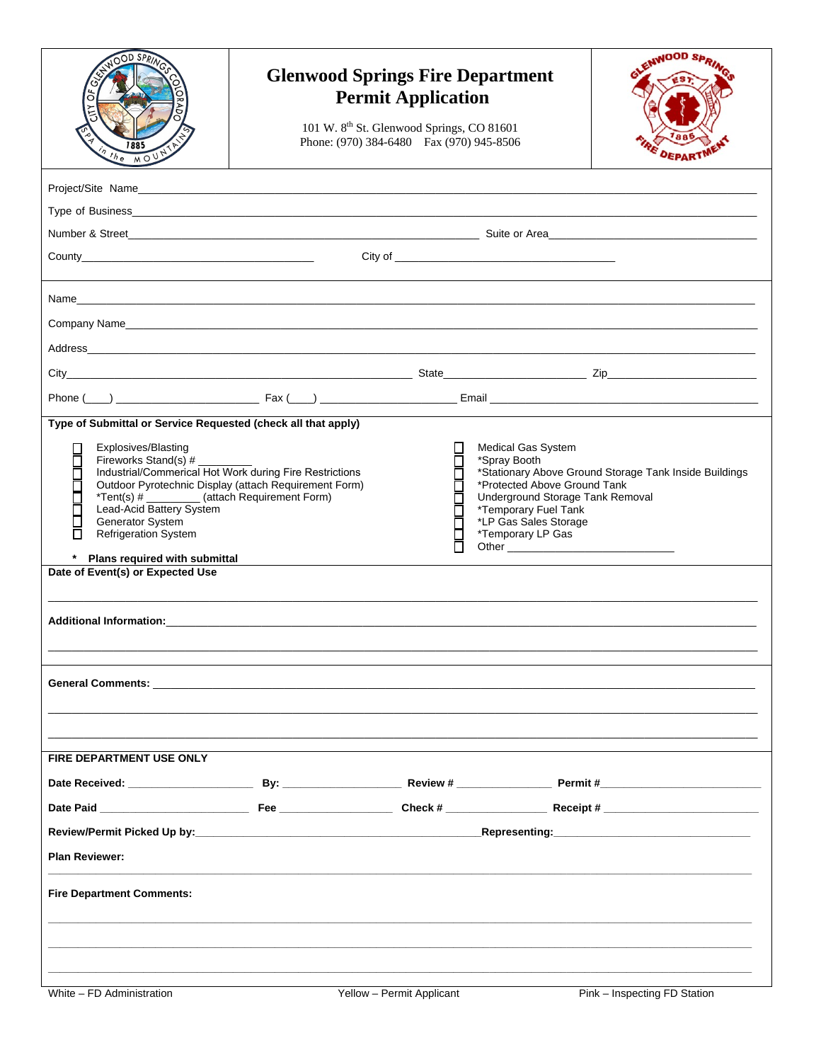| he MOU                                                                                                                                                                                                                                                                                                                                               | <b>Glenwood Springs Fire Department</b><br><b>Permit Application</b><br>101 W. 8 <sup>th</sup> St. Glenwood Springs, CO 81601<br>Phone: (970) 384-6480  Fax (970) 945-8506 |  |                                                                                                                                                        | <b>INOOD SI</b>                                        |
|------------------------------------------------------------------------------------------------------------------------------------------------------------------------------------------------------------------------------------------------------------------------------------------------------------------------------------------------------|----------------------------------------------------------------------------------------------------------------------------------------------------------------------------|--|--------------------------------------------------------------------------------------------------------------------------------------------------------|--------------------------------------------------------|
|                                                                                                                                                                                                                                                                                                                                                      |                                                                                                                                                                            |  |                                                                                                                                                        |                                                        |
|                                                                                                                                                                                                                                                                                                                                                      |                                                                                                                                                                            |  |                                                                                                                                                        |                                                        |
|                                                                                                                                                                                                                                                                                                                                                      |                                                                                                                                                                            |  |                                                                                                                                                        |                                                        |
| County <b>County County County County County County County County County County County County County County County County County County County County County County County </b> County <b></b>                                                                                                                                                       |                                                                                                                                                                            |  |                                                                                                                                                        |                                                        |
|                                                                                                                                                                                                                                                                                                                                                      |                                                                                                                                                                            |  |                                                                                                                                                        |                                                        |
|                                                                                                                                                                                                                                                                                                                                                      |                                                                                                                                                                            |  |                                                                                                                                                        |                                                        |
|                                                                                                                                                                                                                                                                                                                                                      |                                                                                                                                                                            |  |                                                                                                                                                        |                                                        |
|                                                                                                                                                                                                                                                                                                                                                      |                                                                                                                                                                            |  |                                                                                                                                                        |                                                        |
|                                                                                                                                                                                                                                                                                                                                                      |                                                                                                                                                                            |  |                                                                                                                                                        |                                                        |
| Type of Submittal or Service Requested (check all that apply)                                                                                                                                                                                                                                                                                        |                                                                                                                                                                            |  |                                                                                                                                                        |                                                        |
| Fireworks Stand(s) #<br>Industrial/Commerical Hot Work during Fire Restrictions<br>Outdoor Pyrotechnic Display (attach Requirement Form)<br>*Tent(s) # ________ (attach Requirement Form)<br>Lead-Acid Battery System<br><b>Generator System</b><br><b>Refrigeration System</b><br>Plans required with submittal<br>Date of Event(s) or Expected Use |                                                                                                                                                                            |  | *Spray Booth<br>*Protected Above Ground Tank<br>Underground Storage Tank Removal<br>*Temporary Fuel Tank<br>*LP Gas Sales Storage<br>*Temporary LP Gas | *Stationary Above Ground Storage Tank Inside Buildings |
|                                                                                                                                                                                                                                                                                                                                                      |                                                                                                                                                                            |  |                                                                                                                                                        |                                                        |
| FIRE DEPARTMENT USE ONLY                                                                                                                                                                                                                                                                                                                             |                                                                                                                                                                            |  |                                                                                                                                                        |                                                        |
|                                                                                                                                                                                                                                                                                                                                                      |                                                                                                                                                                            |  |                                                                                                                                                        |                                                        |
|                                                                                                                                                                                                                                                                                                                                                      |                                                                                                                                                                            |  |                                                                                                                                                        |                                                        |
| Review/Permit Picked Up by: Network and Security and Security Representing: Network and Security Association of the Security Association of the Security Association of the Security Association of the Security Association o                                                                                                                       |                                                                                                                                                                            |  |                                                                                                                                                        |                                                        |
| <b>Plan Reviewer:</b>                                                                                                                                                                                                                                                                                                                                |                                                                                                                                                                            |  |                                                                                                                                                        |                                                        |
| <b>Fire Department Comments:</b>                                                                                                                                                                                                                                                                                                                     |                                                                                                                                                                            |  |                                                                                                                                                        |                                                        |
|                                                                                                                                                                                                                                                                                                                                                      |                                                                                                                                                                            |  |                                                                                                                                                        |                                                        |